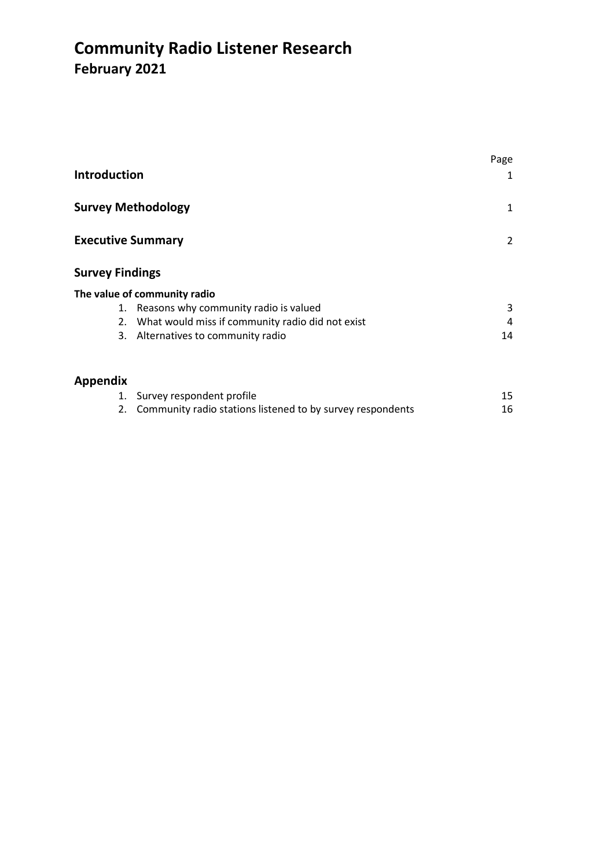# **Community Radio Listener Research February 2021**

| <b>Introduction</b>      |                                                            | Page<br>1      |
|--------------------------|------------------------------------------------------------|----------------|
|                          |                                                            |                |
|                          | <b>Survey Methodology</b>                                  | 1              |
| <b>Executive Summary</b> |                                                            | $\overline{2}$ |
| <b>Survey Findings</b>   |                                                            |                |
|                          | The value of community radio                               |                |
|                          | 1. Reasons why community radio is valued                   | 3              |
| 2.                       | What would miss if community radio did not exist           | 4              |
|                          | 3. Alternatives to community radio                         | 14             |
| Appendix                 |                                                            |                |
|                          | 1. Survey respondent profile                               | 15             |
| 2.                       | Community radio stations listened to by survey respondents | 16             |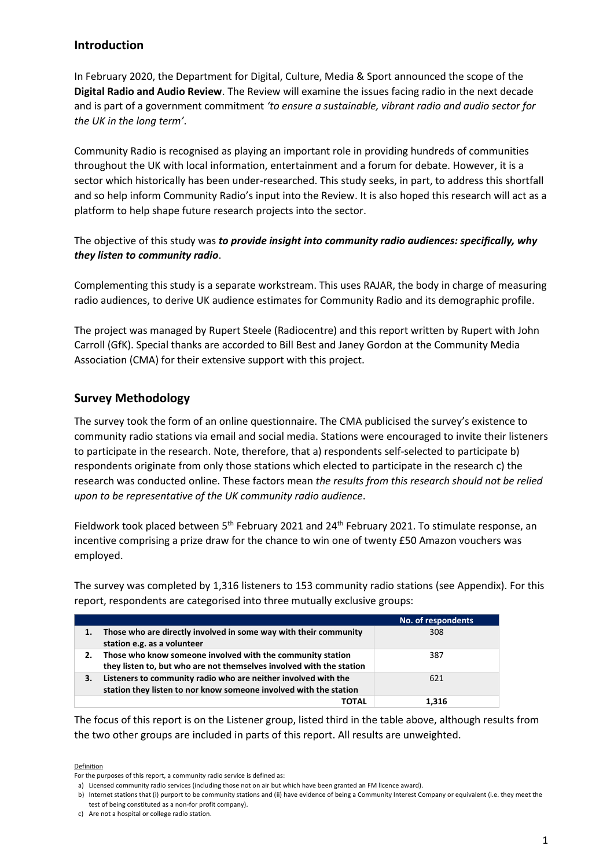## **Introduction**

In February 2020, the Department for Digital, Culture, Media & Sport announced the scope of the **Digital Radio and Audio Review**. The Review will examine the issues facing radio in the next decade and is part of a government commitment *'to ensure a sustainable, vibrant radio and audio sector for the UK in the long term'*.

Community Radio is recognised as playing an important role in providing hundreds of communities throughout the UK with local information, entertainment and a forum for debate. However, it is a sector which historically has been under-researched. This study seeks, in part, to address this shortfall and so help inform Community Radio's input into the Review. It is also hoped this research will act as a platform to help shape future research projects into the sector.

The objective of this study was *to provide insight into community radio audiences: specifically, why they listen to community radio*.

Complementing this study is a separate workstream. This uses RAJAR, the body in charge of measuring radio audiences, to derive UK audience estimates for Community Radio and its demographic profile.

The project was managed by Rupert Steele (Radiocentre) and this report written by Rupert with John Carroll (GfK). Special thanks are accorded to Bill Best and Janey Gordon at the Community Media Association (CMA) for their extensive support with this project.

## **Survey Methodology**

The survey took the form of an online questionnaire. The CMA publicised the survey's existence to community radio stations via email and social media. Stations were encouraged to invite their listeners to participate in the research. Note, therefore, that a) respondents self-selected to participate b) respondents originate from only those stations which elected to participate in the research c) the research was conducted online. These factors mean *the results from this research should not be relied upon to be representative of the UK community radio audience*.

Fieldwork took placed between 5<sup>th</sup> February 2021 and 24<sup>th</sup> February 2021. To stimulate response, an incentive comprising a prize draw for the chance to win one of twenty £50 Amazon vouchers was employed.

The survey was completed by 1,316 listeners to 153 community radio stations (see Appendix). For this report, respondents are categorised into three mutually exclusive groups:

|    |                                                                                                                                     | No. of respondents |
|----|-------------------------------------------------------------------------------------------------------------------------------------|--------------------|
| 1. | Those who are directly involved in some way with their community<br>station e.g. as a volunteer                                     | 308                |
|    | Those who know someone involved with the community station<br>they listen to, but who are not themselves involved with the station  | 387                |
| З. | Listeners to community radio who are neither involved with the<br>station they listen to nor know someone involved with the station | 621                |
|    | TOTAL                                                                                                                               | 1.316              |

The focus of this report is on the Listener group, listed third in the table above, although results from the two other groups are included in parts of this report. All results are unweighted.

Definition

For the purposes of this report, a community radio service is defined as:

a) Licensed community radio services (including those not on air but which have been granted an FM licence award).

b) Internet stations that (i) purport to be community stations and (ii) have evidence of being a Community Interest Company or equivalent (i.e. they meet the test of being constituted as a non-for profit company).

c) Are not a hospital or college radio station.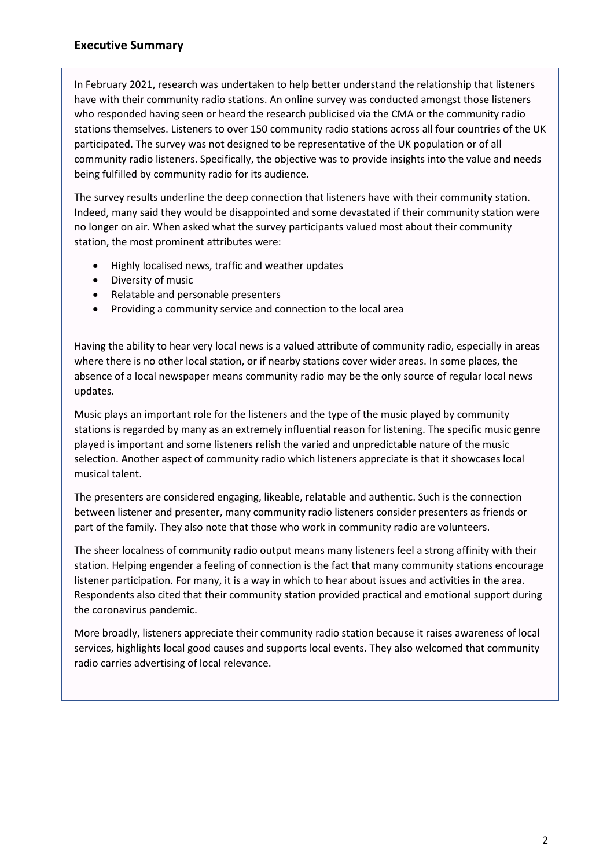## **Executive Summary**

In February 2021, research was undertaken to help better understand the relationship that listeners have with their community radio stations. An online survey was conducted amongst those listeners who responded having seen or heard the research publicised via the CMA or the community radio stations themselves. Listeners to over 150 community radio stations across all four countries of the UK participated. The survey was not designed to be representative of the UK population or of all community radio listeners. Specifically, the objective was to provide insights into the value and needs being fulfilled by community radio for its audience.

The survey results underline the deep connection that listeners have with their community station. Indeed, many said they would be disappointed and some devastated if their community station were no longer on air. When asked what the survey participants valued most about their community station, the most prominent attributes were:

- Highly localised news, traffic and weather updates
- Diversity of music
- Relatable and personable presenters
- Providing a community service and connection to the local area

Having the ability to hear very local news is a valued attribute of community radio, especially in areas where there is no other local station, or if nearby stations cover wider areas. In some places, the absence of a local newspaper means community radio may be the only source of regular local news updates.

Music plays an important role for the listeners and the type of the music played by community stations is regarded by many as an extremely influential reason for listening. The specific music genre played is important and some listeners relish the varied and unpredictable nature of the music selection. Another aspect of community radio which listeners appreciate is that it showcases local musical talent.

The presenters are considered engaging, likeable, relatable and authentic. Such is the connection between listener and presenter, many community radio listeners consider presenters as friends or part of the family. They also note that those who work in community radio are volunteers.

The sheer localness of community radio output means many listeners feel a strong affinity with their station. Helping engender a feeling of connection is the fact that many community stations encourage listener participation. For many, it is a way in which to hear about issues and activities in the area. Respondents also cited that their community station provided practical and emotional support during the coronavirus pandemic.

More broadly, listeners appreciate their community radio station because it raises awareness of local services, highlights local good causes and supports local events. They also welcomed that community radio carries advertising of local relevance.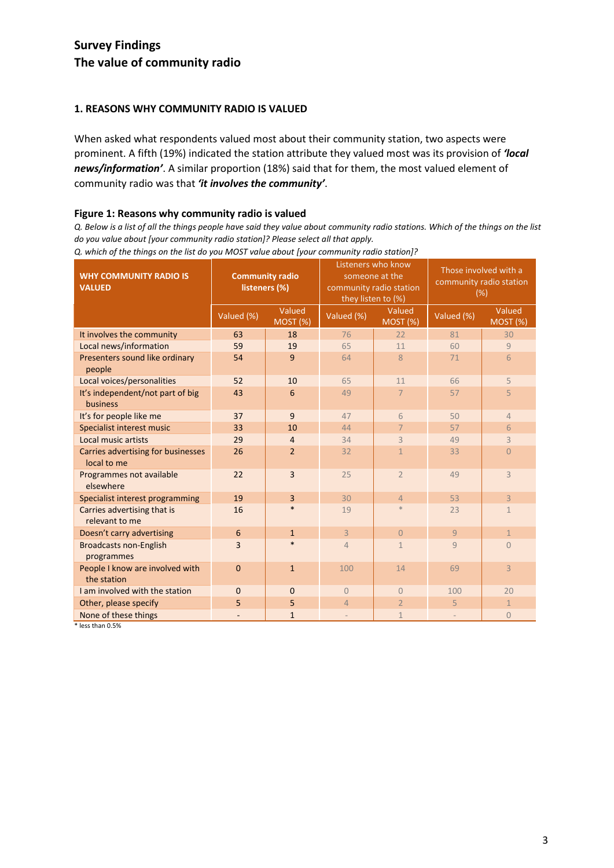# **Survey Findings The value of community radio**

### **1. REASONS WHY COMMUNITY RADIO IS VALUED**

When asked what respondents valued most about their community station, two aspects were prominent. A fifth (19%) indicated the station attribute they valued most was its provision of *'local news/information'*. A similar proportion (18%) said that for them, the most valued element of community radio was that *'it involves the community'*.

#### **Figure 1: Reasons why community radio is valued**

*Q. Below is a list of all the things people have said they value about community radio stations. Which of the things on the list do you value about [your community radio station]? Please select all that apply.*

| <b>WHY COMMUNITY RADIO IS</b><br><b>VALUED</b>    | <b>Community radio</b><br>listeners (%) |                    | Listeners who know<br>someone at the<br>community radio station<br>they listen to (%) |                   | Those involved with a<br>community radio station<br>(% ) |                           |
|---------------------------------------------------|-----------------------------------------|--------------------|---------------------------------------------------------------------------------------|-------------------|----------------------------------------------------------|---------------------------|
|                                                   | Valued (%)                              | Valued<br>MOST (%) | Valued (%)                                                                            | Valued<br>MOST(%) | Valued (%)                                               | Valued<br><b>MOST (%)</b> |
| It involves the community                         | 63                                      | 18                 | 76                                                                                    | 22                | 81                                                       | 30                        |
| Local news/information                            | 59                                      | 19                 | 65                                                                                    | 11                | 60                                                       | 9                         |
| Presenters sound like ordinary<br>people          | 54                                      | 9                  | 64                                                                                    | 8                 | 71                                                       | 6                         |
| Local voices/personalities                        | 52                                      | 10                 | 65                                                                                    | 11                | 66                                                       | 5                         |
| It's independent/not part of big<br>business      | 43                                      | 6                  | 49                                                                                    | $\overline{7}$    | 57                                                       | 5                         |
| It's for people like me                           | 37                                      | 9                  | 47                                                                                    | 6                 | 50                                                       | $\overline{4}$            |
| Specialist interest music                         | 33                                      | 10                 | 44                                                                                    | $\overline{7}$    | 57                                                       | 6                         |
| Local music artists                               | 29                                      | $\overline{4}$     | 34                                                                                    | 3                 | 49                                                       | 3                         |
| Carries advertising for businesses<br>local to me | 26                                      | $\overline{2}$     | 32                                                                                    | $\mathbf{1}$      | 33                                                       | $\overline{0}$            |
| Programmes not available<br>elsewhere             | 22                                      | 3                  | 25                                                                                    | $\overline{2}$    | 49                                                       | 3                         |
| Specialist interest programming                   | 19                                      | 3                  | 30                                                                                    | $\overline{4}$    | 53                                                       | 3                         |
| Carries advertising that is<br>relevant to me     | 16                                      | $\ast$             | 19                                                                                    | $\ast$            | 23                                                       | $\mathbf{1}$              |
| Doesn't carry advertising                         | 6                                       | $\mathbf{1}$       | $\overline{3}$                                                                        | $\Omega$          | 9                                                        | $\mathbf{1}$              |
| <b>Broadcasts non-English</b><br>programmes       | 3                                       | $\ast$             | 4                                                                                     | $\mathbf{1}$      | $\overline{q}$                                           | $\overline{0}$            |
| People I know are involved with<br>the station    | $\mathbf 0$                             | $\mathbf{1}$       | 100                                                                                   | 14                | 69                                                       | 3                         |
| I am involved with the station                    | $\mathbf 0$                             | $\mathbf 0$        | $\overline{0}$                                                                        | $\Omega$          | 100                                                      | 20                        |
| Other, please specify                             | 5                                       | 5                  | 4                                                                                     | $\overline{2}$    | 5                                                        | $\mathbf{1}$              |
| None of these things                              |                                         | $\mathbf{1}$       |                                                                                       | $\mathbf{1}$      |                                                          | $\overline{0}$            |

*Q. which of the things on the list do you MOST value about [your community radio station]?*

\* less than 0.5%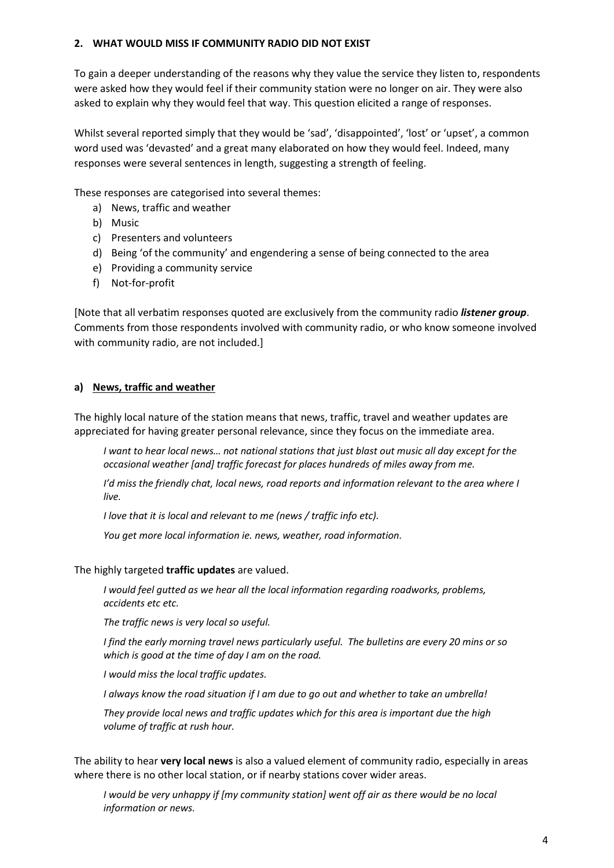#### **2. WHAT WOULD MISS IF COMMUNITY RADIO DID NOT EXIST**

To gain a deeper understanding of the reasons why they value the service they listen to, respondents were asked how they would feel if their community station were no longer on air. They were also asked to explain why they would feel that way. This question elicited a range of responses.

Whilst several reported simply that they would be 'sad', 'disappointed', 'lost' or 'upset', a common word used was 'devasted' and a great many elaborated on how they would feel. Indeed, many responses were several sentences in length, suggesting a strength of feeling.

These responses are categorised into several themes:

- a) News, traffic and weather
- b) Music
- c) Presenters and volunteers
- d) Being 'of the community' and engendering a sense of being connected to the area
- e) Providing a community service
- f) Not-for-profit

[Note that all verbatim responses quoted are exclusively from the community radio *listener group*. Comments from those respondents involved with community radio, or who know someone involved with community radio, are not included.]

#### **a) News, traffic and weather**

The highly local nature of the station means that news, traffic, travel and weather updates are appreciated for having greater personal relevance, since they focus on the immediate area.

*I want to hear local news… not national stations that just blast out music all day except for the occasional weather [and] traffic forecast for places hundreds of miles away from me.*

*I'd miss the friendly chat, local news, road reports and information relevant to the area where I live.*

*I love that it is local and relevant to me (news / traffic info etc).*

*You get more local information ie. news, weather, road information.*

The highly targeted **traffic updates** are valued.

*I would feel gutted as we hear all the local information regarding roadworks, problems, accidents etc etc.*

*The traffic news is very local so useful.*

*I find the early morning travel news particularly useful. The bulletins are every 20 mins or so which is good at the time of day I am on the road.*

*I would miss the local traffic updates.*

*I always know the road situation if I am due to go out and whether to take an umbrella!*

*They provide local news and traffic updates which for this area is important due the high volume of traffic at rush hour.*

The ability to hear **very local news** is also a valued element of community radio, especially in areas where there is no other local station, or if nearby stations cover wider areas.

*I would be very unhappy if [my community station] went off air as there would be no local information or news.*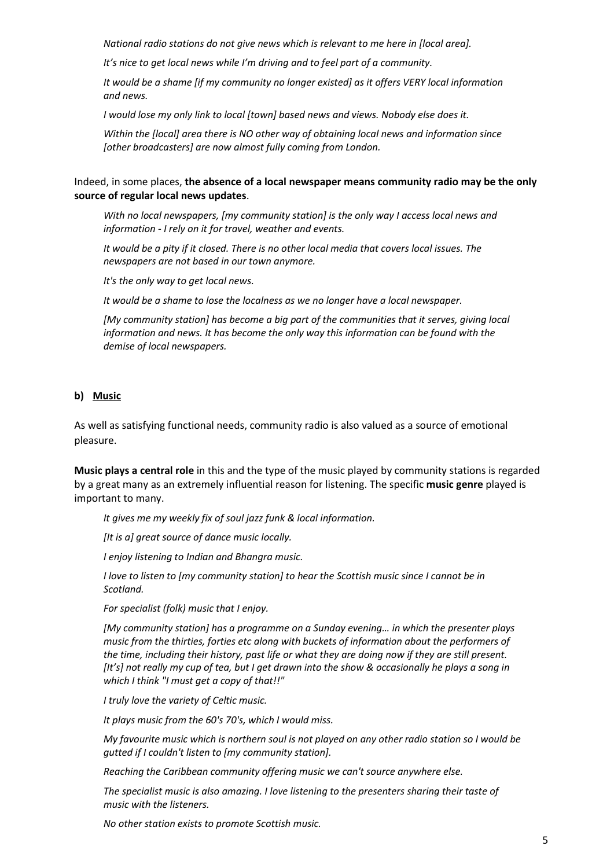*National radio stations do not give news which is relevant to me here in [local area].*

*It's nice to get local news while I'm driving and to feel part of a community.*

*It would be a shame [if my community no longer existed] as it offers VERY local information and news.*

*I would lose my only link to local [town] based news and views. Nobody else does it.*

*Within the [local] area there is NO other way of obtaining local news and information since [other broadcasters] are now almost fully coming from London.*

#### Indeed, in some places, **the absence of a local newspaper means community radio may be the only source of regular local news updates**.

*With no local newspapers, [my community station] is the only way I access local news and information - I rely on it for travel, weather and events.*

*It would be a pity if it closed. There is no other local media that covers local issues. The newspapers are not based in our town anymore.*

*It's the only way to get local news.*

*It would be a shame to lose the localness as we no longer have a local newspaper.*

*[My community station] has become a big part of the communities that it serves, giving local information and news. It has become the only way this information can be found with the demise of local newspapers.*

#### **b) Music**

As well as satisfying functional needs, community radio is also valued as a source of emotional pleasure.

**Music plays a central role** in this and the type of the music played by community stations is regarded by a great many as an extremely influential reason for listening. The specific **music genre** played is important to many.

*It gives me my weekly fix of soul jazz funk & local information.*

*[It is a] great source of dance music locally.*

*I enjoy listening to Indian and Bhangra music.*

*I love to listen to [my community station] to hear the Scottish music since I cannot be in Scotland.*

*For specialist (folk) music that I enjoy.*

*[My community station] has a programme on a Sunday evening… in which the presenter plays music from the thirties, forties etc along with buckets of information about the performers of the time, including their history, past life or what they are doing now if they are still present. [It's] not really my cup of tea, but I get drawn into the show & occasionally he plays a song in which I think "I must get a copy of that!!"*

*I truly love the variety of Celtic music.*

*It plays music from the 60's 70's, which I would miss.*

*My favourite music which is northern soul is not played on any other radio station so I would be gutted if I couldn't listen to [my community station].*

*Reaching the Caribbean community offering music we can't source anywhere else.*

*The specialist music is also amazing. I love listening to the presenters sharing their taste of music with the listeners.*

*No other station exists to promote Scottish music.*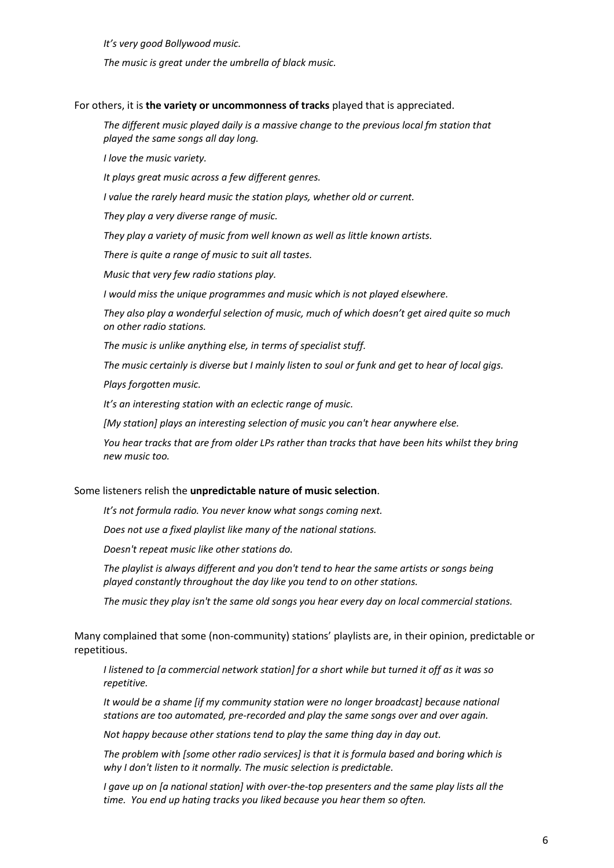*It's very good Bollywood music.*

*The music is great under the umbrella of black music.*

For others, it is **the variety or uncommonness of tracks** played that is appreciated.

*The different music played daily is a massive change to the previous local fm station that played the same songs all day long.*

*I love the music variety.*

*It plays great music across a few different genres.*

*I value the rarely heard music the station plays, whether old or current.*

*They play a very diverse range of music.*

*They play a variety of music from well known as well as little known artists.*

*There is quite a range of music to suit all tastes.*

*Music that very few radio stations play.*

*I would miss the unique programmes and music which is not played elsewhere.*

*They also play a wonderful selection of music, much of which doesn't get aired quite so much on other radio stations.*

*The music is unlike anything else, in terms of specialist stuff.*

*The music certainly is diverse but I mainly listen to soul or funk and get to hear of local gigs.*

*Plays forgotten music.*

*It's an interesting station with an eclectic range of music.*

*[My station] plays an interesting selection of music you can't hear anywhere else.*

*You hear tracks that are from older LPs rather than tracks that have been hits whilst they bring new music too.*

#### Some listeners relish the **unpredictable nature of music selection**.

*It's not formula radio. You never know what songs coming next.* 

*Does not use a fixed playlist like many of the national stations.*

*Doesn't repeat music like other stations do.*

*The playlist is always different and you don't tend to hear the same artists or songs being played constantly throughout the day like you tend to on other stations.*

*The music they play isn't the same old songs you hear every day on local commercial stations.*

Many complained that some (non-community) stations' playlists are, in their opinion, predictable or repetitious.

*I listened to [a commercial network station] for a short while but turned it off as it was so repetitive.*

*It would be a shame [if my community station were no longer broadcast] because national stations are too automated, pre-recorded and play the same songs over and over again.*

*Not happy because other stations tend to play the same thing day in day out.*

*The problem with [some other radio services] is that it is formula based and boring which is why I don't listen to it normally. The music selection is predictable.*

*I gave up on [a national station] with over-the-top presenters and the same play lists all the time. You end up hating tracks you liked because you hear them so often.*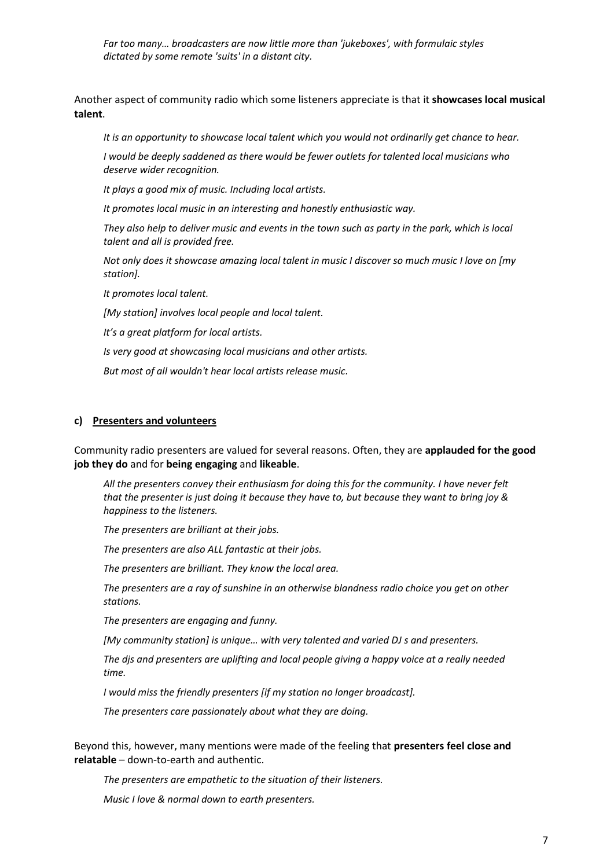*Far too many… broadcasters are now little more than 'jukeboxes', with formulaic styles dictated by some remote 'suits' in a distant city.*

Another aspect of community radio which some listeners appreciate is that it **showcases local musical talent**.

*It is an opportunity to showcase local talent which you would not ordinarily get chance to hear.*

*I would be deeply saddened as there would be fewer outlets for talented local musicians who deserve wider recognition.*

*It plays a good mix of music. Including local artists.*

*It promotes local music in an interesting and honestly enthusiastic way.*

*They also help to deliver music and events in the town such as party in the park, which is local talent and all is provided free.*

*Not only does it showcase amazing local talent in music I discover so much music I love on [my station].*

*It promotes local talent.*

*[My station] involves local people and local talent.*

*It's a great platform for local artists.*

*Is very good at showcasing local musicians and other artists.*

*But most of all wouldn't hear local artists release music.*

#### **c) Presenters and volunteers**

Community radio presenters are valued for several reasons. Often, they are **applauded for the good job they do** and for **being engaging** and **likeable**.

*All the presenters convey their enthusiasm for doing this for the community. I have never felt that the presenter is just doing it because they have to, but because they want to bring joy & happiness to the listeners.*

*The presenters are brilliant at their jobs.*

*The presenters are also ALL fantastic at their jobs.*

*The presenters are brilliant. They know the local area.*

*The presenters are a ray of sunshine in an otherwise blandness radio choice you get on other stations.*

*The presenters are engaging and funny.*

*[My community station] is unique… with very talented and varied DJ s and presenters.*

*The djs and presenters are uplifting and local people giving a happy voice at a really needed time.*

*I would miss the friendly presenters [if my station no longer broadcast].*

*The presenters care passionately about what they are doing.*

Beyond this, however, many mentions were made of the feeling that **presenters feel close and relatable** – down-to-earth and authentic.

*The presenters are empathetic to the situation of their listeners.*

*Music I love & normal down to earth presenters.*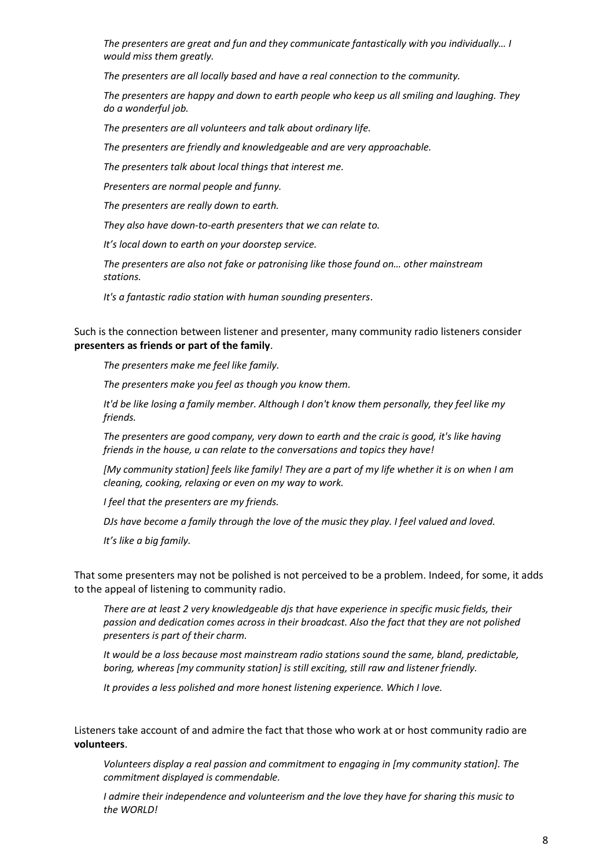*The presenters are great and fun and they communicate fantastically with you individually… I would miss them greatly.*

*The presenters are all locally based and have a real connection to the community.*

*The presenters are happy and down to earth people who keep us all smiling and laughing. They do a wonderful job.*

*The presenters are all volunteers and talk about ordinary life.*

*The presenters are friendly and knowledgeable and are very approachable.*

*The presenters talk about local things that interest me.*

*Presenters are normal people and funny.*

*The presenters are really down to earth.*

*They also have down-to-earth presenters that we can relate to.*

*It's local down to earth on your doorstep service.*

*The presenters are also not fake or patronising like those found on… other mainstream stations.*

*It's a fantastic radio station with human sounding presenters*.

Such is the connection between listener and presenter, many community radio listeners consider **presenters as friends or part of the family**.

*The presenters make me feel like family.*

*The presenters make you feel as though you know them.*

*It'd be like losing a family member. Although I don't know them personally, they feel like my friends.*

*The presenters are good company, very down to earth and the craic is good, it's like having friends in the house, u can relate to the conversations and topics they have!*

*[My community station] feels like family! They are a part of my life whether it is on when I am cleaning, cooking, relaxing or even on my way to work.*

*I feel that the presenters are my friends.*

*DJs have become a family through the love of the music they play. I feel valued and loved.*

*It's like a big family.*

That some presenters may not be polished is not perceived to be a problem. Indeed, for some, it adds to the appeal of listening to community radio.

*There are at least 2 very knowledgeable djs that have experience in specific music fields, their passion and dedication comes across in their broadcast. Also the fact that they are not polished presenters is part of their charm.*

*It would be a loss because most mainstream radio stations sound the same, bland, predictable, boring, whereas [my community station] is still exciting, still raw and listener friendly.*

*It provides a less polished and more honest listening experience. Which I love.*

Listeners take account of and admire the fact that those who work at or host community radio are **volunteers**.

*Volunteers display a real passion and commitment to engaging in [my community station]. The commitment displayed is commendable.*

*I admire their independence and volunteerism and the love they have for sharing this music to the WORLD!*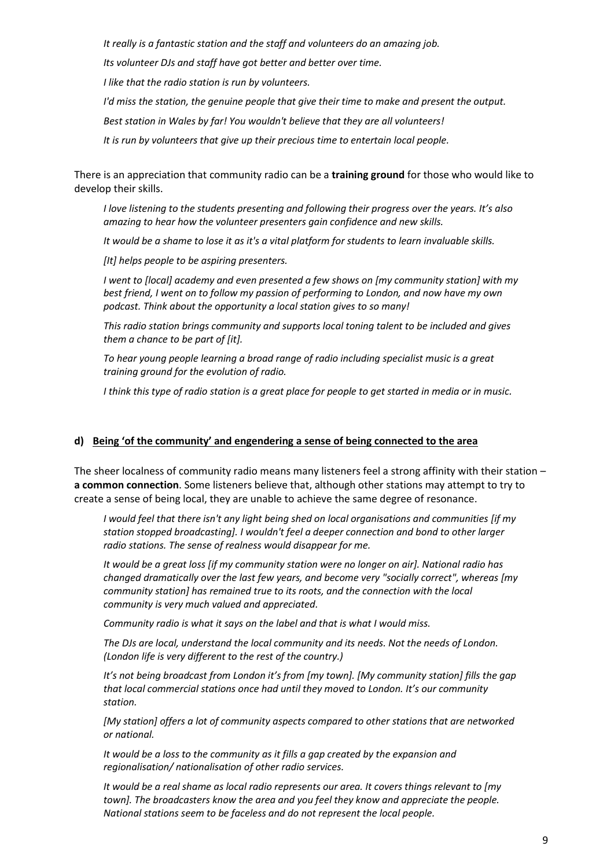*It really is a fantastic station and the staff and volunteers do an amazing job.*

*Its volunteer DJs and staff have got better and better over time.*

*I like that the radio station is run by volunteers.*

*I'd miss the station, the genuine people that give their time to make and present the output.*

*Best station in Wales by far! You wouldn't believe that they are all volunteers!*

*It is run by volunteers that give up their precious time to entertain local people.*

There is an appreciation that community radio can be a **training ground** for those who would like to develop their skills.

*I love listening to the students presenting and following their progress over the years. It's also amazing to hear how the volunteer presenters gain confidence and new skills.*

*It would be a shame to lose it as it's a vital platform for students to learn invaluable skills.*

*[It] helps people to be aspiring presenters.*

*I went to [local] academy and even presented a few shows on [my community station] with my best friend, I went on to follow my passion of performing to London, and now have my own podcast. Think about the opportunity a local station gives to so many!*

*This radio station brings community and supports local toning talent to be included and gives them a chance to be part of [it].*

*To hear young people learning a broad range of radio including specialist music is a great training ground for the evolution of radio.*

*I think this type of radio station is a great place for people to get started in media or in music.*

#### **d) Being 'of the community' and engendering a sense of being connected to the area**

The sheer localness of community radio means many listeners feel a strong affinity with their station – **a common connection**. Some listeners believe that, although other stations may attempt to try to create a sense of being local, they are unable to achieve the same degree of resonance.

*I would feel that there isn't any light being shed on local organisations and communities [if my station stopped broadcasting]. I wouldn't feel a deeper connection and bond to other larger radio stations. The sense of realness would disappear for me.*

*It would be a great loss [if my community station were no longer on air]. National radio has changed dramatically over the last few years, and become very "socially correct", whereas [my community station] has remained true to its roots, and the connection with the local community is very much valued and appreciated.*

*Community radio is what it says on the label and that is what I would miss.*

*The DJs are local, understand the local community and its needs. Not the needs of London. (London life is very different to the rest of the country.)*

*It's not being broadcast from London it's from [my town]. [My community station] fills the gap that local commercial stations once had until they moved to London. It's our community station.*

*[My station] offers a lot of community aspects compared to other stations that are networked or national.*

*It would be a loss to the community as it fills a gap created by the expansion and regionalisation/ nationalisation of other radio services.*

*It would be a real shame as local radio represents our area. It covers things relevant to [my town]. The broadcasters know the area and you feel they know and appreciate the people. National stations seem to be faceless and do not represent the local people.*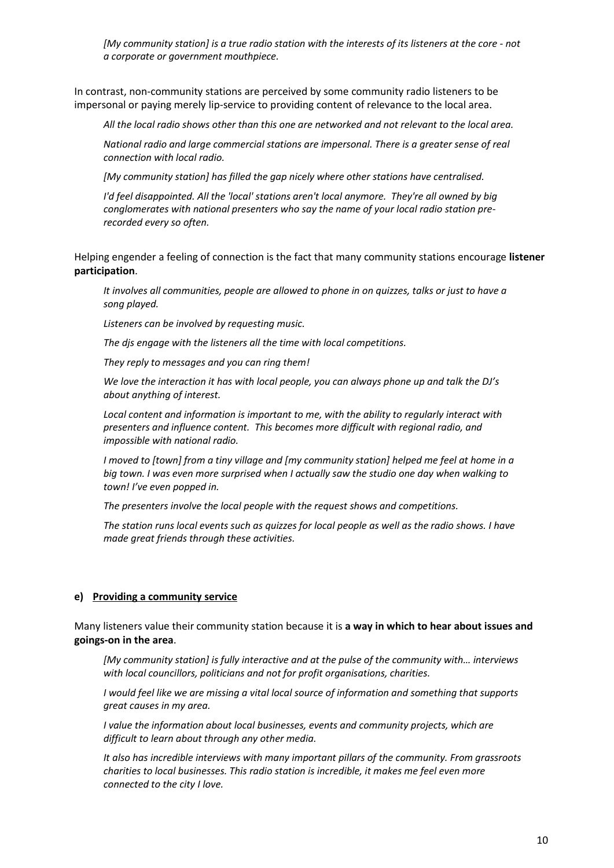*[My community station] is a true radio station with the interests of its listeners at the core - not a corporate or government mouthpiece.*

In contrast, non-community stations are perceived by some community radio listeners to be impersonal or paying merely lip-service to providing content of relevance to the local area.

*All the local radio shows other than this one are networked and not relevant to the local area.*

*National radio and large commercial stations are impersonal. There is a greater sense of real connection with local radio.*

*[My community station] has filled the gap nicely where other stations have centralised.*

*I'd feel disappointed. All the 'local' stations aren't local anymore. They're all owned by big conglomerates with national presenters who say the name of your local radio station prerecorded every so often.*

Helping engender a feeling of connection is the fact that many community stations encourage **listener participation**.

*It involves all communities, people are allowed to phone in on quizzes, talks or just to have a song played.*

*Listeners can be involved by requesting music.*

*The djs engage with the listeners all the time with local competitions.*

*They reply to messages and you can ring them!*

*We love the interaction it has with local people, you can always phone up and talk the DJ's about anything of interest.*

*Local content and information is important to me, with the ability to regularly interact with presenters and influence content. This becomes more difficult with regional radio, and impossible with national radio.*

*I moved to [town] from a tiny village and [my community station] helped me feel at home in a big town. I was even more surprised when I actually saw the studio one day when walking to town! I've even popped in.*

*The presenters involve the local people with the request shows and competitions.*

*The station runs local events such as quizzes for local people as well as the radio shows. I have made great friends through these activities.*

#### **e) Providing a community service**

Many listeners value their community station because it is **a way in which to hear about issues and goings-on in the area**.

*[My community station] is fully interactive and at the pulse of the community with… interviews with local councillors, politicians and not for profit organisations, charities.*

*I would feel like we are missing a vital local source of information and something that supports great causes in my area.*

*I value the information about local businesses, events and community projects, which are difficult to learn about through any other media.*

*It also has incredible interviews with many important pillars of the community. From grassroots charities to local businesses. This radio station is incredible, it makes me feel even more connected to the city I love.*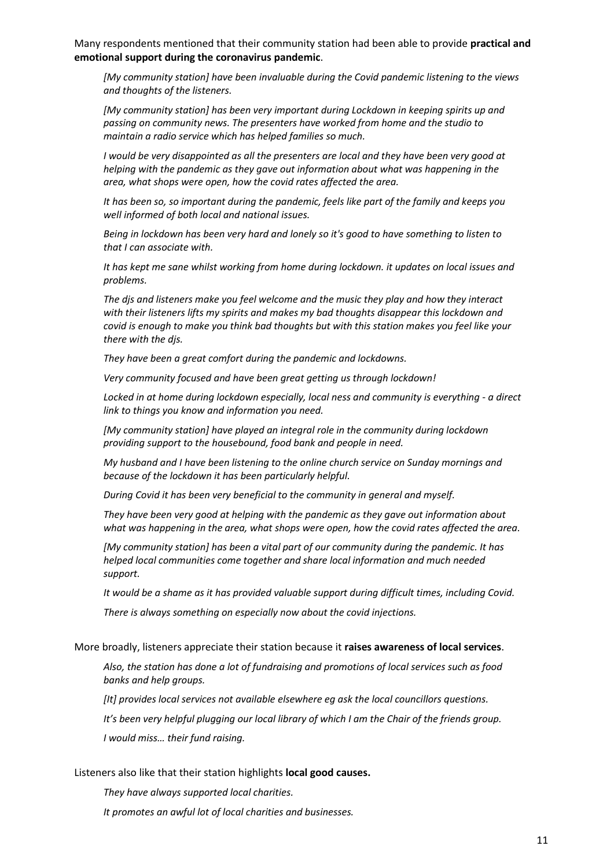Many respondents mentioned that their community station had been able to provide **practical and emotional support during the coronavirus pandemic**.

*[My community station] have been invaluable during the Covid pandemic listening to the views and thoughts of the listeners.*

*[My community station] has been very important during Lockdown in keeping spirits up and passing on community news. The presenters have worked from home and the studio to maintain a radio service which has helped families so much.*

*I would be very disappointed as all the presenters are local and they have been very good at helping with the pandemic as they gave out information about what was happening in the area, what shops were open, how the covid rates affected the area.*

*It has been so, so important during the pandemic, feels like part of the family and keeps you well informed of both local and national issues.*

*Being in lockdown has been very hard and lonely so it's good to have something to listen to that I can associate with.*

*It has kept me sane whilst working from home during lockdown. it updates on local issues and problems.*

*The djs and listeners make you feel welcome and the music they play and how they interact with their listeners lifts my spirits and makes my bad thoughts disappear this lockdown and covid is enough to make you think bad thoughts but with this station makes you feel like your there with the djs.*

*They have been a great comfort during the pandemic and lockdowns.*

*Very community focused and have been great getting us through lockdown!*

*Locked in at home during lockdown especially, local ness and community is everything - a direct link to things you know and information you need.*

*[My community station] have played an integral role in the community during lockdown providing support to the housebound, food bank and people in need.*

*My husband and I have been listening to the online church service on Sunday mornings and because of the lockdown it has been particularly helpful.*

*During Covid it has been very beneficial to the community in general and myself.*

*They have been very good at helping with the pandemic as they gave out information about what was happening in the area, what shops were open, how the covid rates affected the area.*

*[My community station] has been a vital part of our community during the pandemic. It has helped local communities come together and share local information and much needed support.*

*It would be a shame as it has provided valuable support during difficult times, including Covid.*

*There is always something on especially now about the covid injections.*

#### More broadly, listeners appreciate their station because it **raises awareness of local services**.

*Also, the station has done a lot of fundraising and promotions of local services such as food banks and help groups.*

*[It] provides local services not available elsewhere eg ask the local councillors questions.*

*It's been very helpful plugging our local library of which I am the Chair of the friends group.*

*I would miss… their fund raising.*

#### Listeners also like that their station highlights **local good causes.**

*They have always supported local charities.*

*It promotes an awful lot of local charities and businesses.*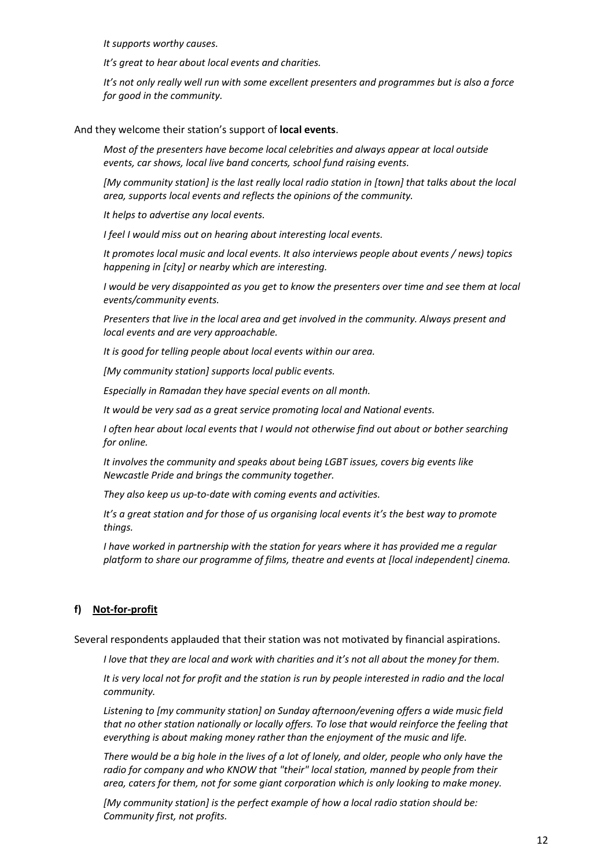*It supports worthy causes.*

*It's great to hear about local events and charities.*

*It's not only really well run with some excellent presenters and programmes but is also a force for good in the community.*

And they welcome their station's support of **local events**.

*Most of the presenters have become local celebrities and always appear at local outside events, car shows, local live band concerts, school fund raising events.*

*[My community station] is the last really local radio station in [town] that talks about the local area, supports local events and reflects the opinions of the community.*

*It helps to advertise any local events.*

*I feel I would miss out on hearing about interesting local events.*

*It promotes local music and local events. It also interviews people about events / news) topics happening in [city] or nearby which are interesting.*

*I would be very disappointed as you get to know the presenters over time and see them at local events/community events.*

*Presenters that live in the local area and get involved in the community. Always present and local events and are very approachable.*

*It is good for telling people about local events within our area.*

*[My community station] supports local public events.*

*Especially in Ramadan they have special events on all month.*

*It would be very sad as a great service promoting local and National events.*

*I often hear about local events that I would not otherwise find out about or bother searching for online.*

*It involves the community and speaks about being LGBT issues, covers big events like Newcastle Pride and brings the community together.*

*They also keep us up-to-date with coming events and activities.*

*It's a great station and for those of us organising local events it's the best way to promote things.*

*I have worked in partnership with the station for years where it has provided me a regular platform to share our programme of films, theatre and events at [local independent] cinema.*

#### **f) Not-for-profit**

Several respondents applauded that their station was not motivated by financial aspirations.

*I love that they are local and work with charities and it's not all about the money for them.*

*It is very local not for profit and the station is run by people interested in radio and the local community.*

*Listening to [my community station] on Sunday afternoon/evening offers a wide music field that no other station nationally or locally offers. To lose that would reinforce the feeling that everything is about making money rather than the enjoyment of the music and life.*

*There would be a big hole in the lives of a lot of lonely, and older, people who only have the*  radio for company and who KNOW that "their" local station, manned by people from their *area, caters for them, not for some giant corporation which is only looking to make money.*

*[My community station] is the perfect example of how a local radio station should be: Community first, not profits.*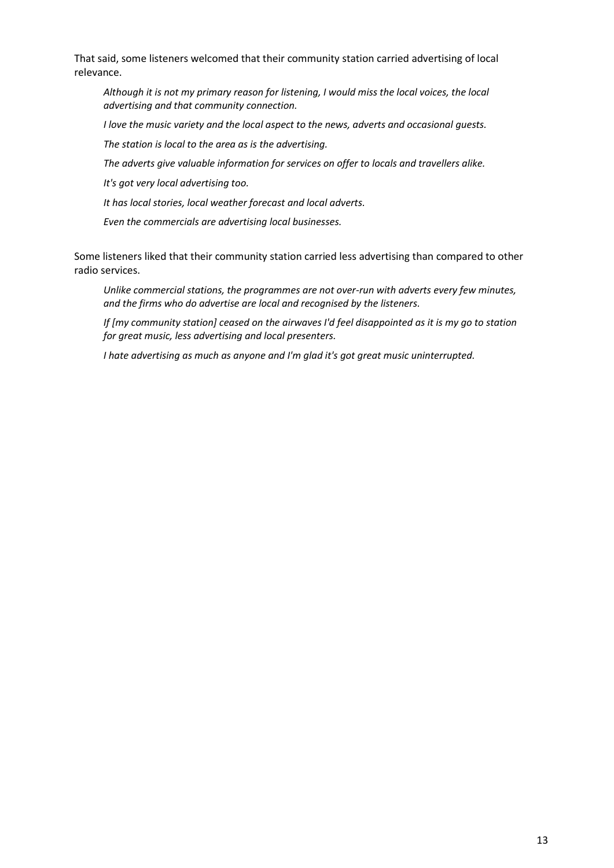That said, some listeners welcomed that their community station carried advertising of local relevance.

*Although it is not my primary reason for listening, I would miss the local voices, the local advertising and that community connection.*

*I love the music variety and the local aspect to the news, adverts and occasional guests.*

*The station is local to the area as is the advertising.*

*The adverts give valuable information for services on offer to locals and travellers alike.*

*It's got very local advertising too.*

*It has local stories, local weather forecast and local adverts.*

*Even the commercials are advertising local businesses.*

Some listeners liked that their community station carried less advertising than compared to other radio services.

*Unlike commercial stations, the programmes are not over-run with adverts every few minutes, and the firms who do advertise are local and recognised by the listeners.*

*If [my community station] ceased on the airwaves I'd feel disappointed as it is my go to station for great music, less advertising and local presenters.*

*I hate advertising as much as anyone and I'm glad it's got great music uninterrupted.*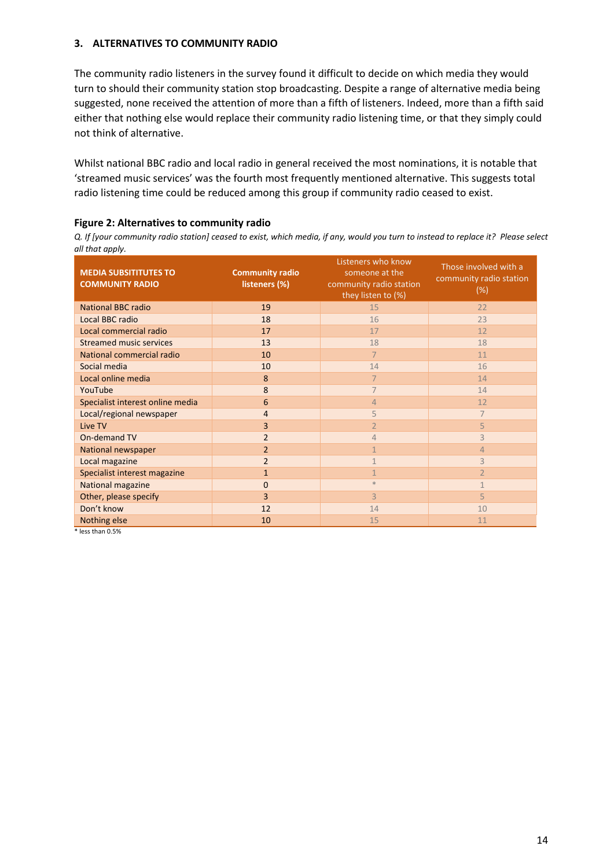#### **3. ALTERNATIVES TO COMMUNITY RADIO**

The community radio listeners in the survey found it difficult to decide on which media they would turn to should their community station stop broadcasting. Despite a range of alternative media being suggested, none received the attention of more than a fifth of listeners. Indeed, more than a fifth said either that nothing else would replace their community radio listening time, or that they simply could not think of alternative.

Whilst national BBC radio and local radio in general received the most nominations, it is notable that 'streamed music services' was the fourth most frequently mentioned alternative. This suggests total radio listening time could be reduced among this group if community radio ceased to exist.

#### **Figure 2: Alternatives to community radio**

*Q. If [your community radio station] ceased to exist, which media, if any, would you turn to instead to replace it? Please select all that apply.*

| <b>MEDIA SUBSITITUTES TO</b><br><b>COMMUNITY RADIO</b> | <b>Community radio</b><br>listeners (%) | Listeners who know<br>someone at the<br>community radio station<br>they listen to (%) | Those involved with a<br>community radio station<br>(%) |
|--------------------------------------------------------|-----------------------------------------|---------------------------------------------------------------------------------------|---------------------------------------------------------|
| <b>National BBC radio</b>                              | 19                                      | 15                                                                                    | 22                                                      |
| Local BBC radio                                        | 18                                      | 16                                                                                    | 23                                                      |
| Local commercial radio                                 | 17                                      | 17                                                                                    | 12                                                      |
| <b>Streamed music services</b>                         | 13                                      | 18                                                                                    | 18                                                      |
| National commercial radio                              | 10                                      | $\overline{7}$                                                                        | 11                                                      |
| Social media                                           | 10                                      | 14                                                                                    | 16                                                      |
| Local online media                                     | 8                                       | $\overline{7}$                                                                        | 14                                                      |
| YouTube                                                | 8                                       | $\overline{7}$                                                                        | 14                                                      |
| Specialist interest online media                       | 6                                       | 4                                                                                     | 12                                                      |
| Local/regional newspaper                               | 4                                       | 5                                                                                     | $\overline{7}$                                          |
| Live TV                                                | 3                                       | $\overline{2}$                                                                        | 5                                                       |
| On-demand TV                                           | $\overline{2}$                          | 4                                                                                     | 3                                                       |
| National newspaper                                     | $\overline{2}$                          | $\mathbf{1}$                                                                          | $\overline{4}$                                          |
| Local magazine                                         | $\overline{2}$                          | $\mathbf{1}$                                                                          | $\overline{3}$                                          |
| Specialist interest magazine                           | $\mathbf{1}$                            | $\mathbf{1}$                                                                          | $\overline{2}$                                          |
| National magazine                                      | $\mathbf{0}$                            | $*$                                                                                   | $\mathbf{1}$                                            |
| Other, please specify                                  | 3                                       | $\overline{3}$                                                                        | 5                                                       |
| Don't know                                             | 12                                      | 14                                                                                    | 10                                                      |
| Nothing else                                           | 10                                      | 15                                                                                    | 11                                                      |

\* less than 0.5%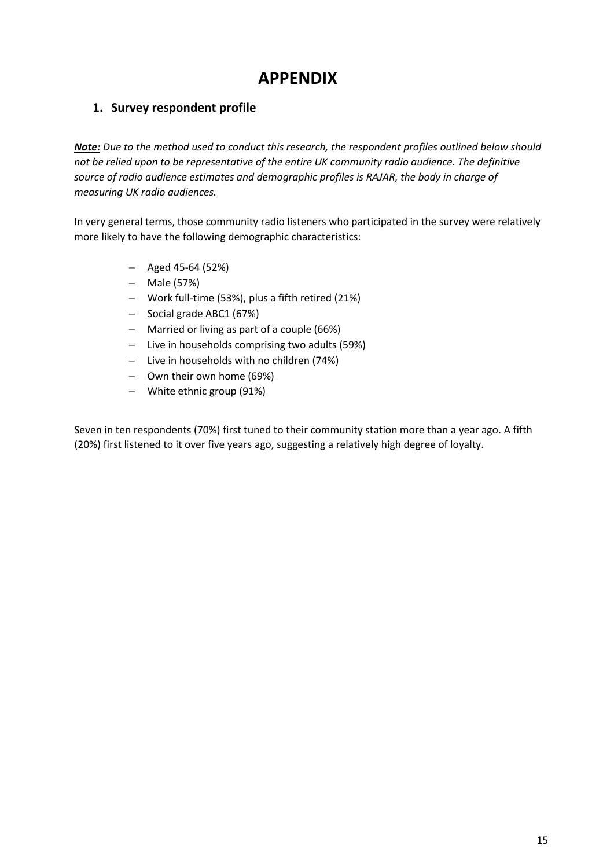# **APPENDIX**

# **1. Survey respondent profile**

*Note: Due to the method used to conduct this research, the respondent profiles outlined below should not be relied upon to be representative of the entire UK community radio audience. The definitive source of radio audience estimates and demographic profiles is RAJAR, the body in charge of measuring UK radio audiences.*

In very general terms, those community radio listeners who participated in the survey were relatively more likely to have the following demographic characteristics:

- − Aged 45-64 (52%)
- − Male (57%)
- − Work full-time (53%), plus a fifth retired (21%)
- − Social grade ABC1 (67%)
- − Married or living as part of a couple (66%)
- − Live in households comprising two adults (59%)
- − Live in households with no children (74%)
- − Own their own home (69%)
- − White ethnic group (91%)

Seven in ten respondents (70%) first tuned to their community station more than a year ago. A fifth (20%) first listened to it over five years ago, suggesting a relatively high degree of loyalty.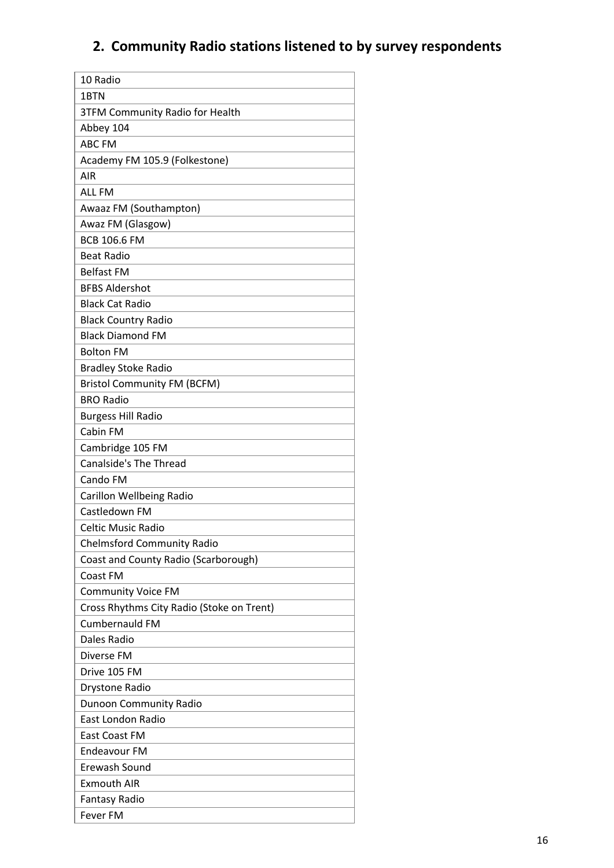# **2. Community Radio stations listened to by survey respondents**

| 10 Radio                                  |
|-------------------------------------------|
| 1BTN                                      |
| <b>3TFM Community Radio for Health</b>    |
| Abbey 104                                 |
| <b>ABC FM</b>                             |
| Academy FM 105.9 (Folkestone)             |
| <b>AIR</b>                                |
| <b>ALL FM</b>                             |
| Awaaz FM (Southampton)                    |
| Awaz FM (Glasgow)                         |
| <b>BCB 106.6 FM</b>                       |
| <b>Beat Radio</b>                         |
| <b>Belfast FM</b>                         |
| <b>BFBS Aldershot</b>                     |
| <b>Black Cat Radio</b>                    |
| <b>Black Country Radio</b>                |
| <b>Black Diamond FM</b>                   |
| <b>Bolton FM</b>                          |
| <b>Bradley Stoke Radio</b>                |
| <b>Bristol Community FM (BCFM)</b>        |
| <b>BRO Radio</b>                          |
| <b>Burgess Hill Radio</b>                 |
| Cabin FM                                  |
| Cambridge 105 FM                          |
| <b>Canalside's The Thread</b>             |
| Cando FM                                  |
| <b>Carillon Wellbeing Radio</b>           |
| Castledown FM                             |
| <b>Celtic Music Radio</b>                 |
| <b>Chelmsford Community Radio</b>         |
| Coast and County Radio (Scarborough)      |
| Coast FM                                  |
| <b>Community Voice FM</b>                 |
| Cross Rhythms City Radio (Stoke on Trent) |
| <b>Cumbernauld FM</b>                     |
| Dales Radio                               |
| Diverse FM                                |
| Drive 105 FM                              |
| Drystone Radio                            |
| <b>Dunoon Community Radio</b>             |
| East London Radio                         |
| <b>East Coast FM</b>                      |
| <b>Endeavour FM</b>                       |
| Erewash Sound                             |
| <b>Exmouth AIR</b>                        |
| <b>Fantasy Radio</b>                      |
| <b>Fever FM</b>                           |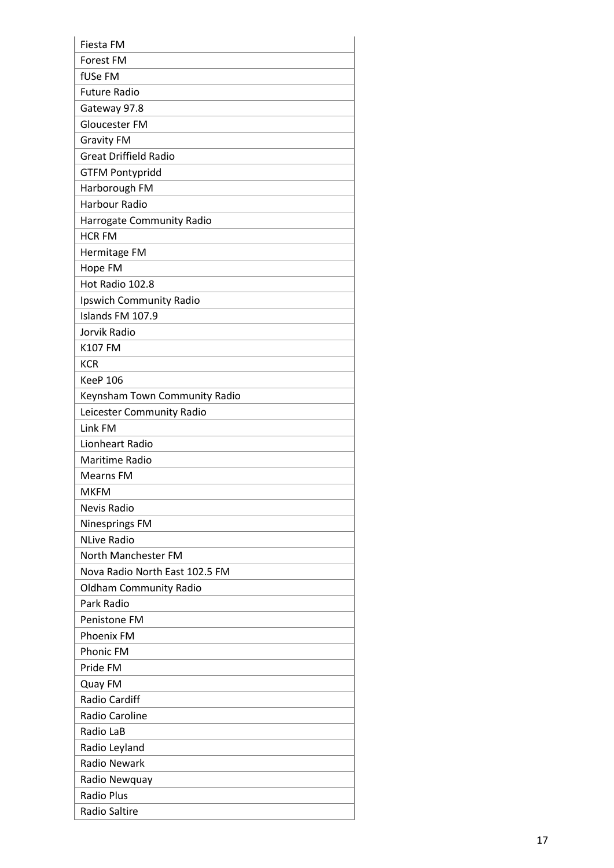| <b>Fiesta FM</b>               |
|--------------------------------|
| Forest FM                      |
| fUSe FM                        |
| <b>Future Radio</b>            |
| Gateway 97.8                   |
| Gloucester FM                  |
| <b>Gravity FM</b>              |
| <b>Great Driffield Radio</b>   |
| <b>GTFM Pontypridd</b>         |
| Harborough FM                  |
| <b>Harbour Radio</b>           |
| Harrogate Community Radio      |
| <b>HCR FM</b>                  |
| Hermitage FM                   |
| Hope FM                        |
| Hot Radio 102.8                |
| Ipswich Community Radio        |
| Islands FM 107.9               |
| Jorvik Radio                   |
| K107 FM                        |
| <b>KCR</b>                     |
| <b>KeeP 106</b>                |
| Keynsham Town Community Radio  |
| Leicester Community Radio      |
| Link FM                        |
| Lionheart Radio                |
| Maritime Radio                 |
| <b>Mearns FM</b>               |
| <b>MKFM</b>                    |
| Nevis Radio                    |
| <b>Ninesprings FM</b>          |
| <b>NLive Radio</b>             |
| North Manchester FM            |
| Nova Radio North East 102.5 FM |
| <b>Oldham Community Radio</b>  |
| Park Radio                     |
| <b>Penistone FM</b>            |
| <b>Phoenix FM</b>              |
| <b>Phonic FM</b>               |
| Pride FM                       |
| Quay FM                        |
| <b>Radio Cardiff</b>           |
| Radio Caroline                 |
| Radio LaB                      |
| Radio Leyland                  |
| <b>Radio Newark</b>            |
| Radio Newquay                  |
| <b>Radio Plus</b>              |
| <b>Radio Saltire</b>           |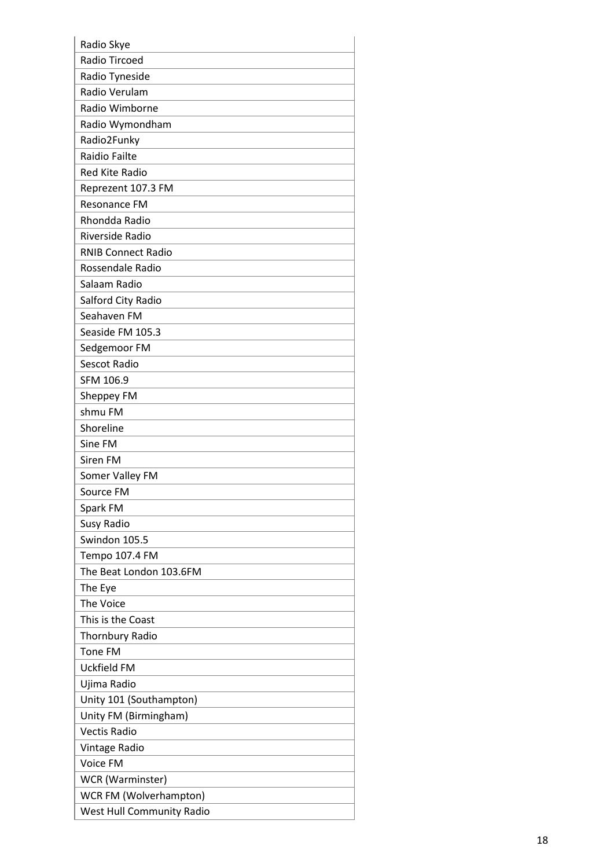| Radio Skye                       |
|----------------------------------|
| <b>Radio Tircoed</b>             |
| Radio Tyneside                   |
| Radio Verulam                    |
| Radio Wimborne                   |
| Radio Wymondham                  |
| Radio2Funky                      |
| <b>Raidio Failte</b>             |
| <b>Red Kite Radio</b>            |
| Reprezent 107.3 FM               |
| <b>Resonance FM</b>              |
| Rhondda Radio                    |
| Riverside Radio                  |
| <b>RNIB Connect Radio</b>        |
| Rossendale Radio                 |
| Salaam Radio                     |
| Salford City Radio               |
| Seahaven FM                      |
| Seaside FM 105.3                 |
| Sedgemoor FM                     |
| <b>Sescot Radio</b>              |
| SFM 106.9                        |
| Sheppey FM                       |
| shmu FM                          |
| Shoreline                        |
| Sine FM                          |
| Siren FM                         |
| Somer Valley FM                  |
| Source FM                        |
| Spark FM                         |
| Susy Radio                       |
| Swindon 105.5                    |
| Tempo 107.4 FM                   |
| The Beat London 103.6FM          |
| The Eye                          |
| The Voice                        |
| This is the Coast                |
| <b>Thornbury Radio</b>           |
| <b>Tone FM</b>                   |
| Uckfield FM                      |
| Ujima Radio                      |
| Unity 101 (Southampton)          |
| Unity FM (Birmingham)            |
| <b>Vectis Radio</b>              |
| Vintage Radio                    |
| Voice FM                         |
| WCR (Warminster)                 |
| WCR FM (Wolverhampton)           |
| <b>West Hull Community Radio</b> |